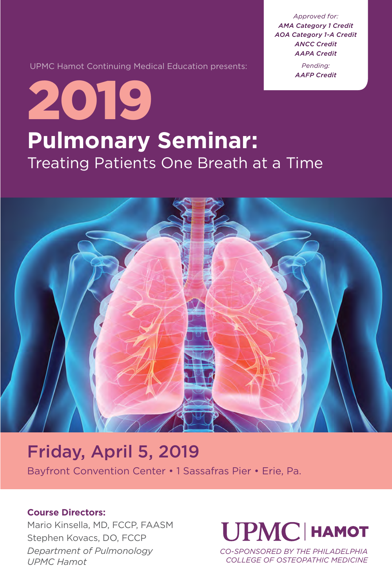*Approved for: AMA Category 1 Credit AOA Category 1-A Credit ANCC Credit AAPA Credit*

> *Pending: AAFP Credit*

UPMC Hamot Continuing Medical Education presents:

## **Pulmonary Seminar:** Treating Patients One Breath at a Time 2019



## Friday, April 5, 2019

Bayfront Convention Center • 1 Sassafras Pier • Erie, Pa.

#### **Course Directors:**

Mario Kinsella, MD, FCCP, FAASM Stephen Kovacs, DO, FCCP *Department of Pulmonology UPMC Hamot*

## **UPMC HAMOT**

*CO-SPONSORED BY THE PHILADELPHIA COLLEGE OF OSTEOPATHIC MEDICINE*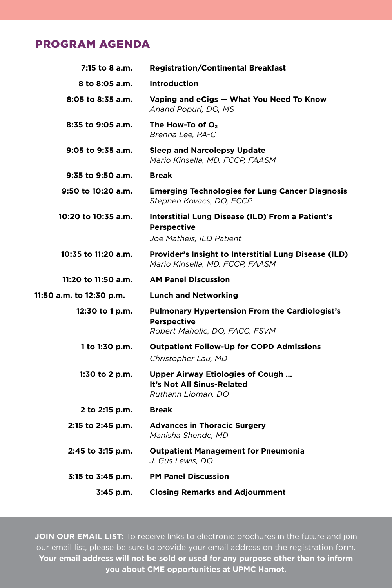### PROGRAM AGENDA

| 7:15 to 8 a.m.           | <b>Registration/Continental Breakfast</b>                                                                     |
|--------------------------|---------------------------------------------------------------------------------------------------------------|
| 8 to 8:05 a.m.           | <b>Introduction</b>                                                                                           |
| 8:05 to 8:35 a.m.        | Vaping and eCigs - What You Need To Know<br>Anand Popuri, DO, MS                                              |
| 8:35 to 9:05 a.m.        | The How-To of $O2$<br>Brenna Lee, PA-C                                                                        |
| $9:05$ to $9:35$ a.m.    | <b>Sleep and Narcolepsy Update</b><br>Mario Kinsella, MD, FCCP, FAASM                                         |
| 9:35 to 9:50 a.m.        | <b>Break</b>                                                                                                  |
| 9:50 to 10:20 a.m.       | <b>Emerging Technologies for Lung Cancer Diagnosis</b><br>Stephen Kovacs, DO, FCCP                            |
| 10:20 to 10:35 a.m.      | Interstitial Lung Disease (ILD) From a Patient's<br><b>Perspective</b><br>Joe Matheis, ILD Patient            |
| 10:35 to 11:20 a.m.      | <b>Provider's Insight to Interstitial Lung Disease (ILD)</b><br>Mario Kinsella, MD, FCCP, FAASM               |
| 11:20 to 11:50 a.m.      | <b>AM Panel Discussion</b>                                                                                    |
| 11:50 a.m. to 12:30 p.m. | <b>Lunch and Networking</b>                                                                                   |
| 12:30 to 1 p.m.          | <b>Pulmonary Hypertension From the Cardiologist's</b><br><b>Perspective</b><br>Robert Maholic, DO, FACC, FSVM |
| 1 to 1:30 p.m.           | <b>Outpatient Follow-Up for COPD Admissions</b><br>Christopher Lau, MD                                        |
| 1:30 to 2 p.m.           | <b>Upper Airway Etiologies of Cough </b><br>It's Not All Sinus-Related<br>Ruthann Lipman, DO                  |
| 2 to 2:15 p.m.           | <b>Break</b>                                                                                                  |
| 2:15 to 2:45 p.m.        | <b>Advances in Thoracic Surgery</b><br>Manisha Shende, MD                                                     |
| 2:45 to 3:15 p.m.        | <b>Outpatient Management for Pneumonia</b>                                                                    |
|                          | J. Gus Lewis, DO                                                                                              |
| 3:15 to 3:45 p.m.        | <b>PM Panel Discussion</b>                                                                                    |
|                          |                                                                                                               |

JOIN OUR EMAIL LIST: To receive links to electronic brochures in the future and join our email list, please be sure to provide your email address on the registration form. **Your email address will not be sold or used for any purpose other than to inform you about CME opportunities at UPMC Hamot.**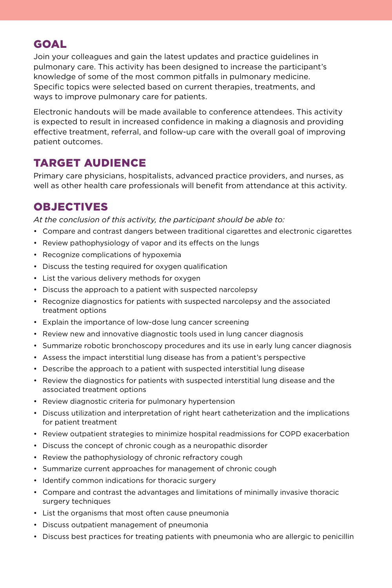## GOAL

Join your colleagues and gain the latest updates and practice guidelines in pulmonary care. This activity has been designed to increase the participant's knowledge of some of the most common pitfalls in pulmonary medicine. Specific topics were selected based on current therapies, treatments, and ways to improve pulmonary care for patients.

Electronic handouts will be made available to conference attendees. This activity is expected to result in increased confidence in making a diagnosis and providing effective treatment, referral, and follow-up care with the overall goal of improving patient outcomes.

## TARGET AUDIENCE

Primary care physicians, hospitalists, advanced practice providers, and nurses, as well as other health care professionals will benefit from attendance at this activity.

## OBJECTIVES

*At the conclusion of this activity, the participant should be able to:*

- Compare and contrast dangers between traditional cigarettes and electronic cigarettes
- Review pathophysiology of vapor and its effects on the lungs
- Recognize complications of hypoxemia
- Discuss the testing required for oxygen qualification
- List the various delivery methods for oxygen
- Discuss the approach to a patient with suspected narcolepsy
- Recognize diagnostics for patients with suspected narcolepsy and the associated treatment options
- Explain the importance of low-dose lung cancer screening
- Review new and innovative diagnostic tools used in lung cancer diagnosis
- Summarize robotic bronchoscopy procedures and its use in early lung cancer diagnosis
- Assess the impact interstitial lung disease has from a patient's perspective
- Describe the approach to a patient with suspected interstitial lung disease
- Review the diagnostics for patients with suspected interstitial lung disease and the associated treatment options
- Review diagnostic criteria for pulmonary hypertension
- Discuss utilization and interpretation of right heart catheterization and the implications for patient treatment
- Review outpatient strategies to minimize hospital readmissions for COPD exacerbation
- Discuss the concept of chronic cough as a neuropathic disorder
- Review the pathophysiology of chronic refractory cough
- Summarize current approaches for management of chronic cough
- Identify common indications for thoracic surgery
- Compare and contrast the advantages and limitations of minimally invasive thoracic surgery techniques
- List the organisms that most often cause pneumonia
- Discuss outpatient management of pneumonia
- Discuss best practices for treating patients with pneumonia who are allergic to penicillin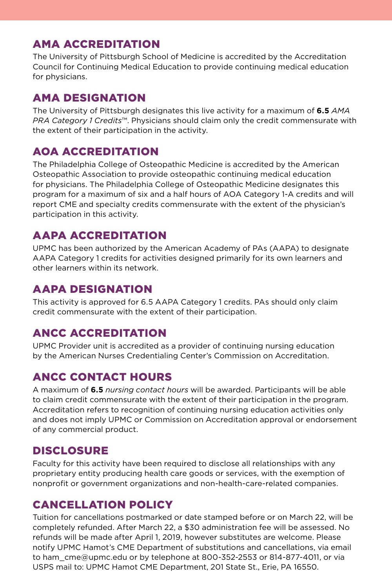## AMA ACCREDITATION

The University of Pittsburgh School of Medicine is accredited by the Accreditation Council for Continuing Medical Education to provide continuing medical education for physicians.

### AMA DESIGNATION

The University of Pittsburgh designates this live activity for a maximum of **6.5** *AMA PRA Category 1 Credits*™. Physicians should claim only the credit commensurate with the extent of their participation in the activity.

## AOA ACCREDITATION

The Philadelphia College of Osteopathic Medicine is accredited by the American Osteopathic Association to provide osteopathic continuing medical education for physicians. The Philadelphia College of Osteopathic Medicine designates this program for a maximum of six and a half hours of AOA Category 1-A credits and will report CME and specialty credits commensurate with the extent of the physician's participation in this activity.

## AAPA ACCREDITATION

UPMC has been authorized by the American Academy of PAs (AAPA) to designate AAPA Category 1 credits for activities designed primarily for its own learners and other learners within its network.

## AAPA DESIGNATION

This activity is approved for 6.5 AAPA Category 1 credits. PAs should only claim credit commensurate with the extent of their participation.

## ANCC ACCREDITATION

UPMC Provider unit is accredited as a provider of continuing nursing education by the American Nurses Credentialing Center's Commission on Accreditation.

## ANCC CONTACT HOURS

A maximum of **6.5** *nursing contact hours* will be awarded. Participants will be able to claim credit commensurate with the extent of their participation in the program. Accreditation refers to recognition of continuing nursing education activities only and does not imply UPMC or Commission on Accreditation approval or endorsement of any commercial product.

## **DISCLOSURE**

Faculty for this activity have been required to disclose all relationships with any proprietary entity producing health care goods or services, with the exemption of nonprofit or government organizations and non-health-care-related companies.

## CANCELLATION POLICY

Tuition for cancellations postmarked or date stamped before or on March 22, will be completely refunded. After March 22, a \$30 administration fee will be assessed. No refunds will be made after April 1, 2019, however substitutes are welcome. Please notify UPMC Hamot's CME Department of substitutions and cancellations, via email to ham\_cme@upmc.edu or by telephone at 800-352-2553 or 814-877-4011, or via USPS mail to: UPMC Hamot CME Department, 201 State St., Erie, PA 16550.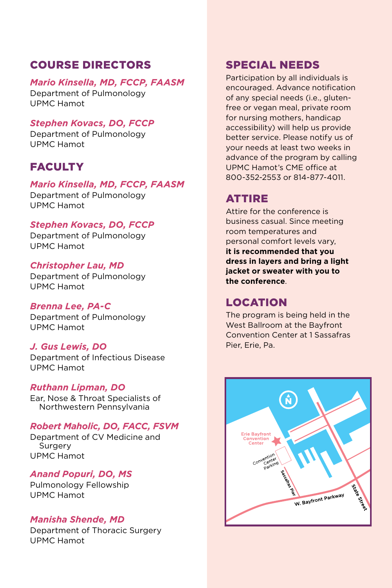## COURSE DIRECTORS

#### *Mario Kinsella, MD, FCCP, FAASM*

Department of Pulmonology UPMC Hamot

#### *Stephen Kovacs, DO, FCCP*

Department of Pulmonology UPMC Hamot

## **FACULTY**

#### *Mario Kinsella, MD, FCCP, FAASM*

Department of Pulmonology UPMC Hamot

#### *Stephen Kovacs, DO, FCCP*

Department of Pulmonology UPMC Hamot

#### *Christopher Lau, MD*

Department of Pulmonology UPMC Hamot

#### *Brenna Lee, PA-C*

Department of Pulmonology UPMC Hamot

#### *J. Gus Lewis, DO*

Department of Infectious Disease UPMC Hamot

#### *Ruthann Lipman, DO*

Ear, Nose & Throat Specialists of Northwestern Pennsylvania

#### *Robert Maholic, DO, FACC, FSVM*

Department of CV Medicine and Surgery UPMC Hamot

#### *Anand Popuri, DO, MS*

Pulmonology Fellowship UPMC Hamot

#### *Manisha Shende, MD*

Department of Thoracic Surgery UPMC Hamot

### SPECIAL NEEDS

Participation by all individuals is encouraged. Advance notification of any special needs (i.e., glutenfree or vegan meal, private room for nursing mothers, handicap accessibility) will help us provide better service. Please notify us of your needs at least two weeks in advance of the program by calling UPMC Hamot's CME office at 800-352-2553 or 814-877-4011.

## ATTIRE

Attire for the conference is business casual. Since meeting room temperatures and personal comfort levels vary, **it is recommended that you dress in layers and bring a light jacket or sweater with you to the conference**.

## LOCATION

The program is being held in the West Ballroom at the Bayfront Convention Center at 1 Sassafras Pier, Erie, Pa.